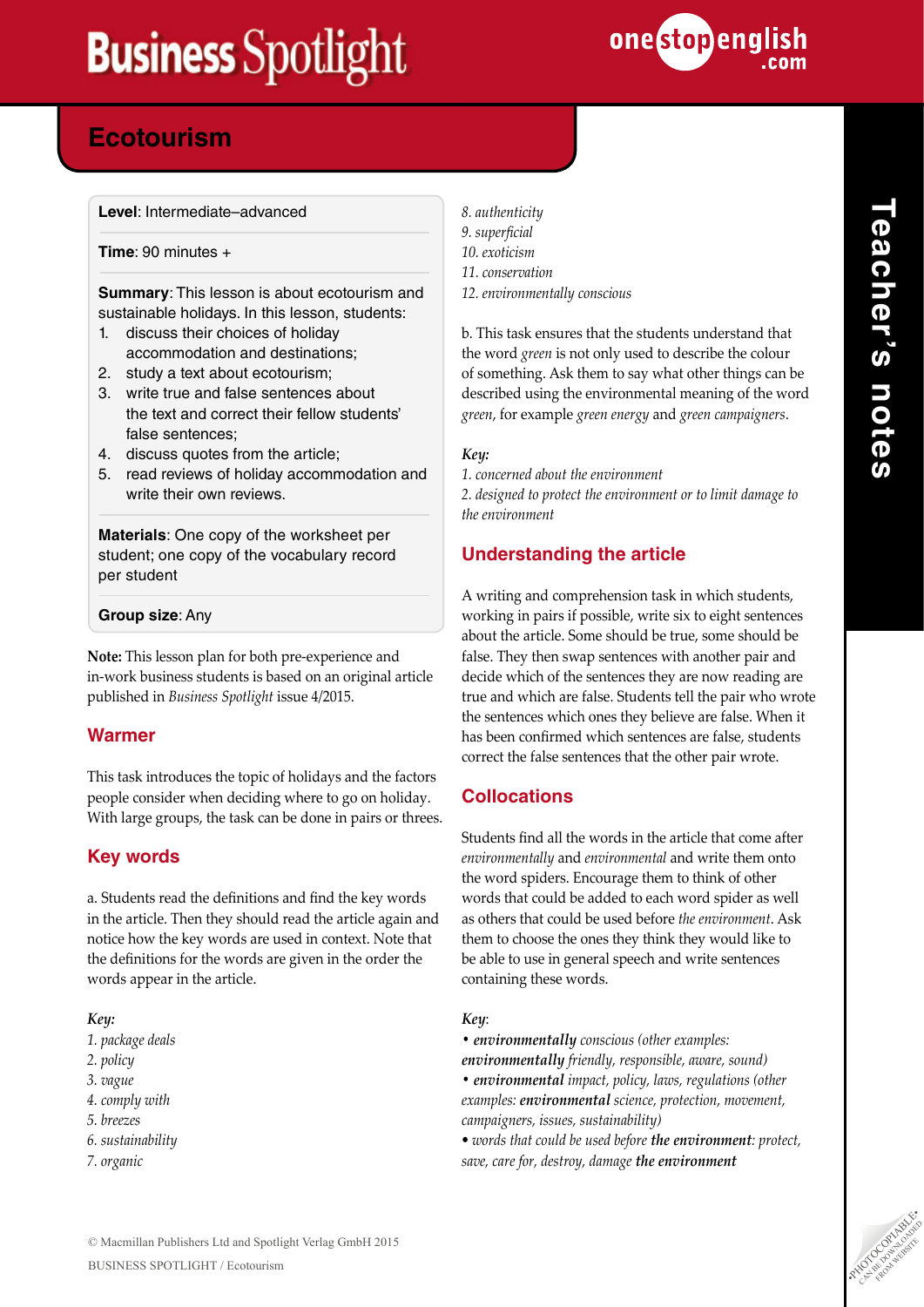

# **Powers in the Ecotourism**

**Level**: Intermediate–advanced

**Time**: 90 minutes +

**Summary**: This lesson is about ecotourism and sustainable holidays. In this lesson, students:

- 1. discuss their choices of holiday accommodation and destinations;
- 2. study a text about ecotourism;
- 3. write true and false sentences about the text and correct their fellow students' false sentences;
- 4. discuss quotes from the article;
- 5. read reviews of holiday accommodation and write their own reviews.

**Materials**: One copy of the worksheet per student; one copy of the vocabulary record per student

### **Group size**: Any

**Note:** This lesson plan for both pre-experience and in-work business students is based on an original article published in *Business Spotlight* issue 4/2015.

## **Warmer**

This task introduces the topic of holidays and the factors people consider when deciding where to go on holiday. With large groups, the task can be done in pairs or threes.

## **Key words**

a. Students read the definitions and find the key words in the article. Then they should read the article again and notice how the key words are used in context. Note that the definitions for the words are given in the order the words appear in the article.

### *Key:*

- *1. package deals*
- *2. policy*
- *3. vague*
- *4. comply with*
- *5. breezes*
- *6. sustainability*
- *7. organic*

*8. authenticity 9. superficial 10. exoticism 11. conservation 12. environmentally conscious*

b. This task ensures that the students understand that the word *green* is not only used to describe the colour of something. Ask them to say what other things can be described using the environmental meaning of the word *green*, for example *green energy* and *green campaigners*.

### *Key:*

*1. concerned about the environment* 

*2. designed to protect the environment or to limit damage to the environment*

## **Understanding the article**

A writing and comprehension task in which students, working in pairs if possible, write six to eight sentences about the article. Some should be true, some should be false. They then swap sentences with another pair and decide which of the sentences they are now reading are true and which are false. Students tell the pair who wrote the sentences which ones they believe are false. When it has been confirmed which sentences are false, students correct the false sentences that the other pair wrote.

## **Collocations**

Students find all the words in the article that come after *environmentally* and *environmental* and write them onto the word spiders. Encourage them to think of other words that could be added to each word spider as well as others that could be used before *the environment*. Ask them to choose the ones they think they would like to be able to use in general speech and write sentences containing these words.

### *Key*:

- *environmentally conscious (other examples: environmentally friendly, responsible, aware, sound) • environmental impact, policy, laws, regulations (other examples: environmental science, protection, movement, campaigners, issues, sustainability)*
- *words that could be used before the environment: protect, save, care for, destroy, damage the environment*

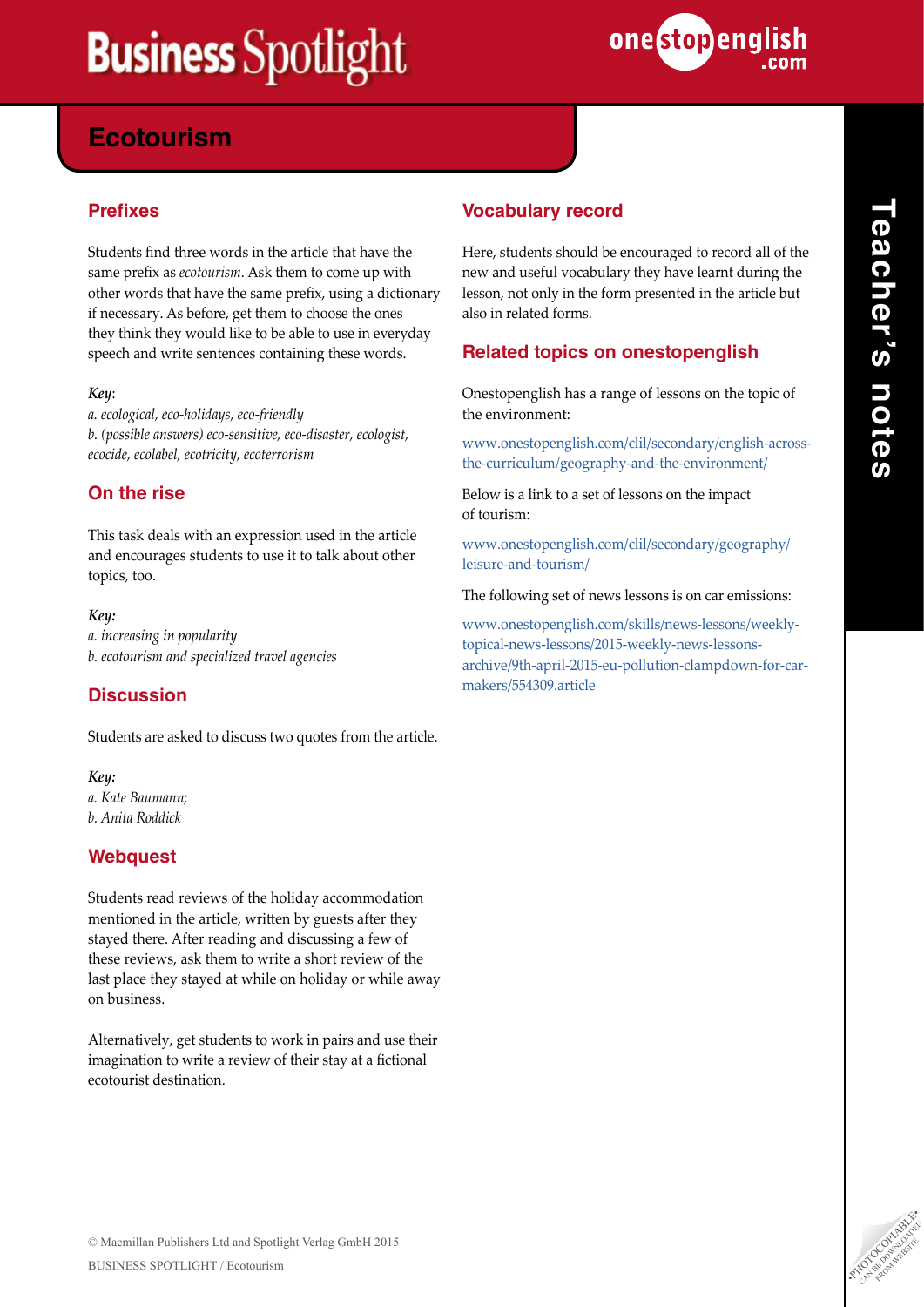

# **Powers in the Ecotourism**

## **Prefixes**

Students find three words in the article that have the same prefix as *ecotourism*. Ask them to come up with other words that have the same prefix, using a dictionary if necessary. As before, get them to choose the ones they think they would like to be able to use in everyday speech and write sentences containing these words.

### *Key*:

*a. ecological, eco-holidays, eco-friendly b. (possible answers) eco-sensitive, eco-disaster, ecologist, ecocide, ecolabel, ecotricity, ecoterrorism*

## **On the rise**

This task deals with an expression used in the article and encourages students to use it to talk about other topics, too.

### *Key:*

*a. increasing in popularity b. ecotourism and specialized travel agencies*

## **Discussion**

Students are asked to discuss two quotes from the article.

### *Key: a. Kate Baumann; b. Anita Roddick*

## **Webquest**

Students read reviews of the holiday accommodation mentioned in the article, written by guests after they stayed there. After reading and discussing a few of these reviews, ask them to write a short review of the last place they stayed at while on holiday or while away on business.

Alternatively, get students to work in pairs and use their imagination to write a review of their stay at a fictional ecotourist destination.

## **Vocabulary record**

Here, students should be encouraged to record all of the new and useful vocabulary they have learnt during the lesson, not only in the form presented in the article but also in related forms.

## **Related topics on onestopenglish**

Onestopenglish has a range of lessons on the topic of the environment:

[www.onestopenglish.com/clil/secondary/english-across](http://www.onestopenglish.com/clil/secondary/english-across-the-curriculum/geography-and-the-environment)[the-curriculum/geography-and-the-environment/](http://www.onestopenglish.com/clil/secondary/english-across-the-curriculum/geography-and-the-environment)

Below is a link to a set of lessons on the impact of tourism:

[www.onestopenglish.com/clil/secondary/geography/](http://www.onestopenglish.com/clil/secondary/geography/leisure-and-tourism) [leisure-and-tourism/](http://www.onestopenglish.com/clil/secondary/geography/leisure-and-tourism)

The following set of news lessons is on car emissions:

[www.onestopenglish.com/skills/news-lessons/weekly](http://www.onestopenglish.com/skills/news-lessons/weekly-topical-news-lessons/2015-weekly-news-lessons-archive/9th-april-2015-eu-pollution-clampdown-for-car-makers/554309.article)[topical-news-lessons/2015-weekly-news-lessons](http://www.onestopenglish.com/skills/news-lessons/weekly-topical-news-lessons/2015-weekly-news-lessons-archive/9th-april-2015-eu-pollution-clampdown-for-car-makers/554309.article)[archive/9th-april-2015-eu-pollution-clampdown-for-car](http://www.onestopenglish.com/skills/news-lessons/weekly-topical-news-lessons/2015-weekly-news-lessons-archive/9th-april-2015-eu-pollution-clampdown-for-car-makers/554309.article)[makers/554309.article](http://www.onestopenglish.com/skills/news-lessons/weekly-topical-news-lessons/2015-weekly-news-lessons-archive/9th-april-2015-eu-pollution-clampdown-for-car-makers/554309.article)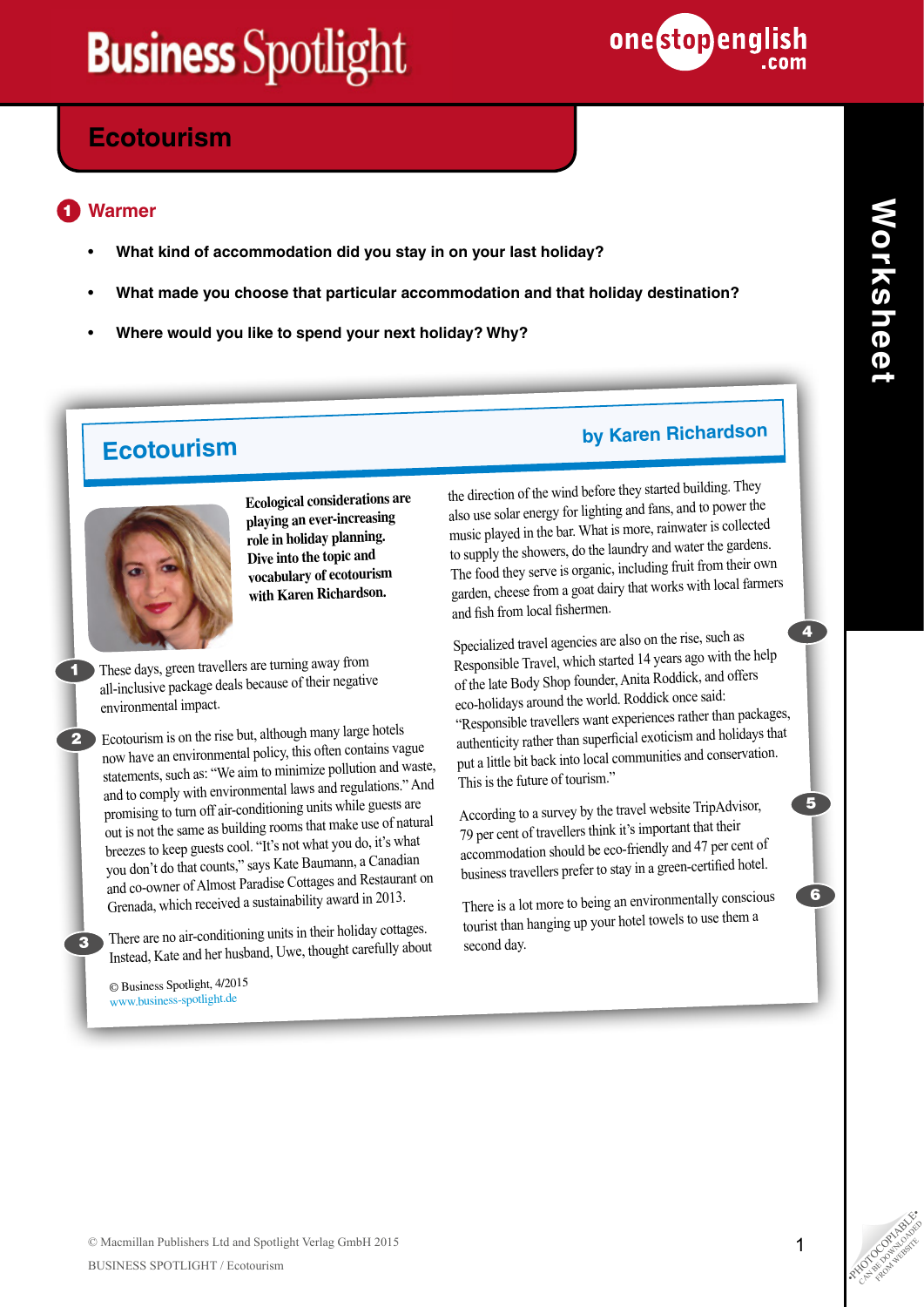

# **Ecotourism**

#### **Warmer** 1

- **What kind of accommodation did you stay in on your last holiday?**
- **What made you choose that particular accommodation and that holiday destination?**
- **Where would you like to spend your next holiday? Why?**

# **Ecotourism by Karen Richardson**



**Ecological considerations are playing an ever-increasing role in holiday planning. Dive into the topic and vocabulary of ecotourism with Karen Richardson.** 

These days, green travellers are turning away from all-inclusive package deals because of their negative environmental impact.

**2** Ecotourism is on the rise but, although many large hotels now have an environmental policy, this often contains vague statements, such as: "We aim to minimize pollution and waste, and to comply with environmental laws and regulations." And promising to turn off air-conditioning units while guests are out is not the same as building rooms that make use of natural breezes to keep guests cool. "It's not what you do, it's what you don't do that counts," says Kate Baumann, a Canadian and co-owner of Almost Paradise Cottages and Restaurant on Grenada, which received a sustainability award in 2013.

There are no air-conditioning units in their holiday cottages. Instead, Kate and her husband, Uwe, thought carefully about

© Business Spotlight, 4/2015 www.business-spotlight.de

3

1

the direction of the wind before they started building. They also use solar energy for lighting and fans, and to power the music played in the bar. What is more, rainwater is collected to supply the showers, do the laundry and water the gardens. The food they serve is organic, including fruit from their own garden, cheese from a goat dairy that works with local farmers

and fish from local fishermen.

Specialized travel agencies are also on the rise, such as Responsible Travel, which started 14 years ago with the help of the late Body Shop founder, Anita Roddick, and offers eco-holidays around the world. Roddick once said: "Responsible travellers want experiences rather than packages, authenticity rather than superficial exoticism and holidays that put a little bit back into local communities and conservation. This is the future of tourism."

According to a survey by the travel website TripAdvisor, 79 per cent of travellers think it's important that their accommodation should be eco-friendly and 47 per cent o<sup>f</sup> business travellers prefer to stay in a green-certified hotel.

There is a lot more to being an environmentally conscious tourist than hanging up your hotel towels to use them a second day.

4

5

6

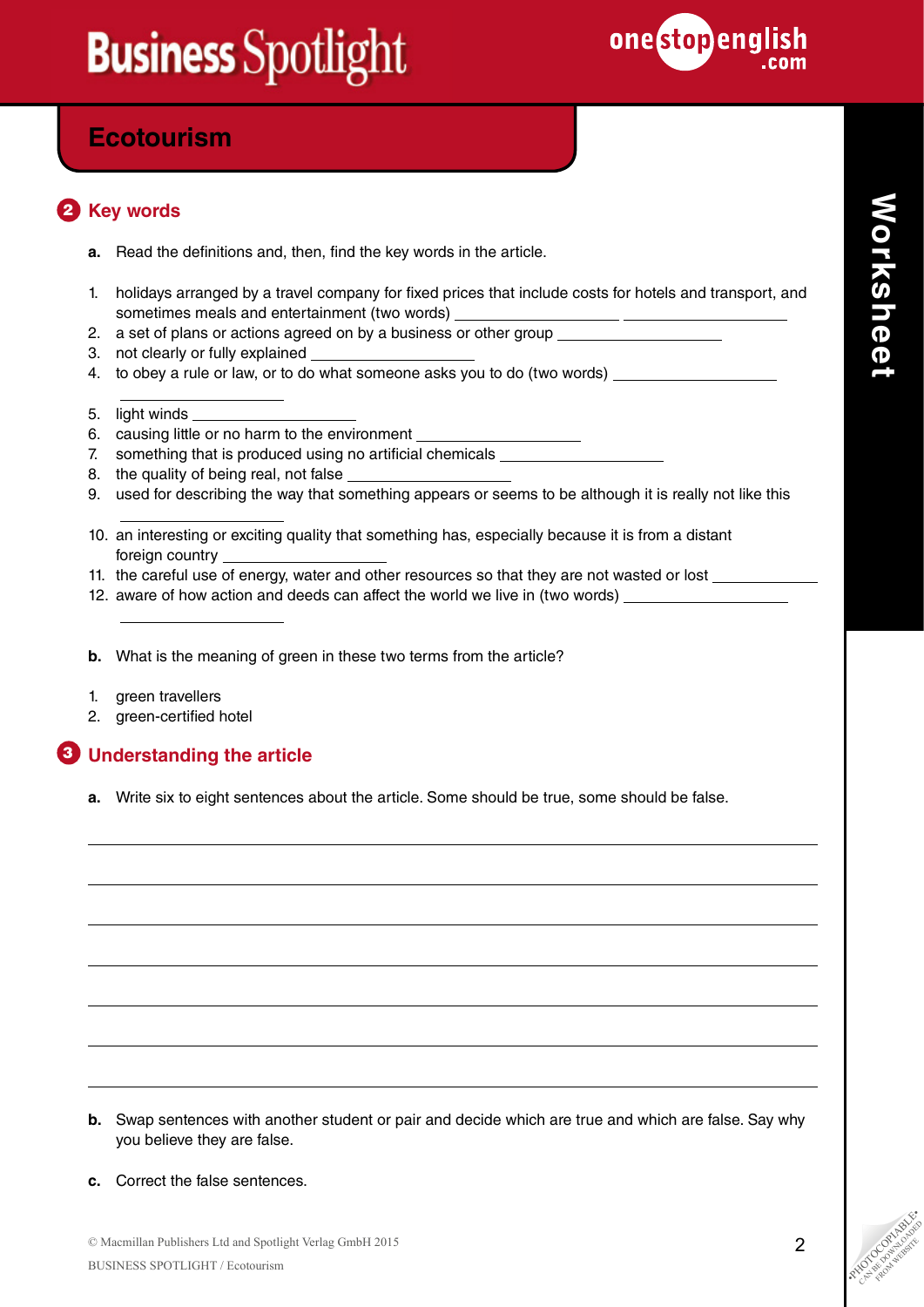

# **Ecotourism**

# **2** Key words

- **a.** Read the definitions and, then, find the key words in the article.
- 1. holidays arranged by a travel company for fixed prices that include costs for hotels and transport, and sometimes meals and entertainment (two words)
- 2. a set of plans or actions agreed on by a business or other group
- 3. not clearly or fully explained
- 4. to obey a rule or law, or to do what someone asks you to do (two words)
- 5. light winds

 $\overline{a}$ 

 $\overline{a}$ 

 $\overline{a}$ 

- 6. causing little or no harm to the environment
- 7. something that is produced using no artificial chemicals \_\_\_\_\_\_\_\_\_\_\_\_\_\_\_\_\_\_\_\_
- 8. the quality of being real, not false
- 9. used for describing the way that something appears or seems to be although it is really not like this
- 10. an interesting or exciting quality that something has, especially because it is from a distant foreign country
- 11. the careful use of energy, water and other resources so that they are not wasted or lost
- 12. aware of how action and deeds can affect the world we live in (two words)
- **b.** What is the meaning of green in these two terms from the article?
- 1. green travellers
- 2. green-certified hotel

## **Understanding the article** 3

**a.** Write six to eight sentences about the article. Some should be true, some should be false.

- **b.** Swap sentences with another student or pair and decide which are true and which are false. Say why you believe they are false.
- **c.** Correct the false sentences.

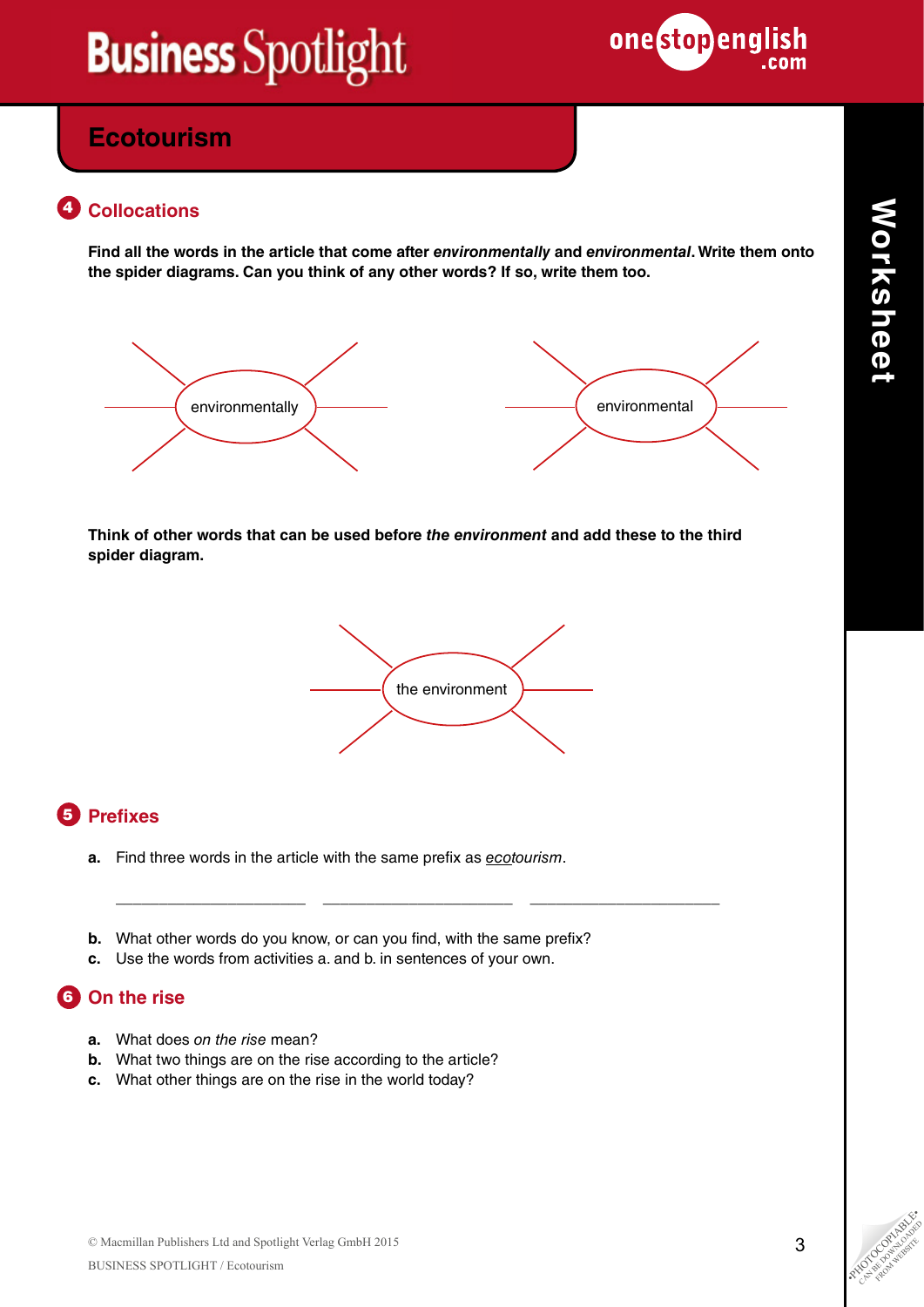

# **Ecotourism**

## 4 Collocations

**Find all the words in the article that come after** *environmentally* **and** *environmental***. Write them onto the spider diagrams. Can you think of any other words? If so, write them too.**



**Think of other words that can be used before** *the environment* **and add these to the third spider diagram.**

\_\_\_\_\_\_\_\_\_\_\_\_\_\_\_\_\_\_\_\_\_\_ \_\_\_\_\_\_\_\_\_\_\_\_\_\_\_\_\_\_\_\_\_\_ \_\_\_\_\_\_\_\_\_\_\_\_\_\_\_\_\_\_\_\_\_\_



# **5** Prefixes

- **a.** Find three words in the article with the same prefix as *ecotourism*.
- **b.** What other words do you know, or can you find, with the same prefix?
- **c.** Use the words from activities a. and b. in sentences of your own.

# **6** On the rise

- **a.** What does *on the rise* mean?
- **b.** What two things are on the rise according to the article?
- **c.** What other things are on the rise in the world today?

**Worksheet**

Worksheet

CAN BE DOWNLOAD FROM WEBSITE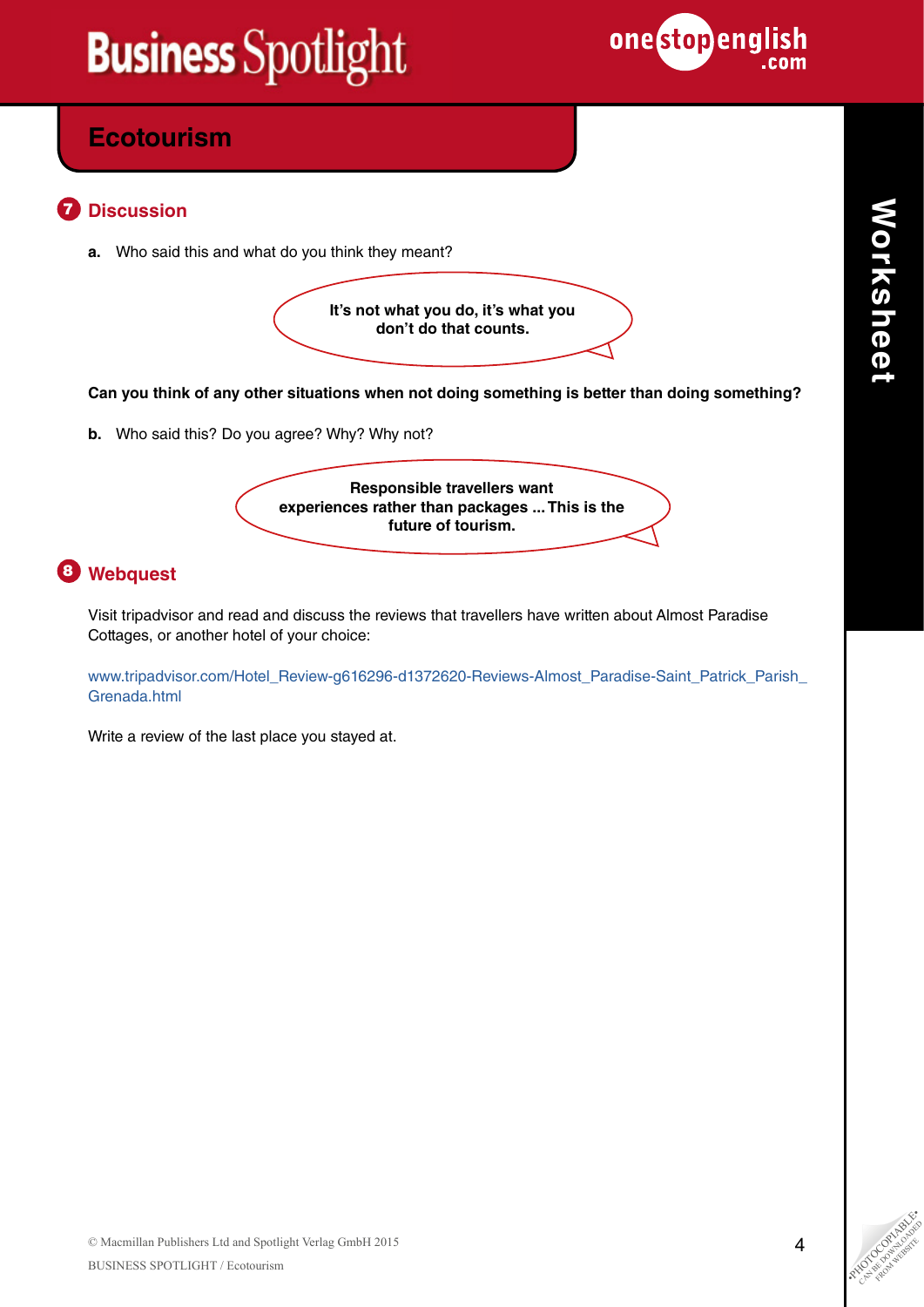

# **Ecotourism**

#### **Discussion** 7

**a.** Who said this and what do you think they meant?

**It's not what you do, it's what you don't do that counts.**

**Can you think of any other situations when not doing something is better than doing something?**

**b.** Who said this? Do you agree? Why? Why not?

**Responsible travellers want experiences rather than packages ... This is the future of tourism.**

# **Webquest** 8

Visit tripadvisor and read and discuss the reviews that travellers have written about Almost Paradise Cottages, or another hotel of your choice:

[www.tripadvisor.com/Hotel\\_Review-g616296-d1372620-Reviews-Almost\\_Paradise-Saint\\_Patrick\\_Parish\\_](http://www.tripadvisor.com/Hotel_Review-g616296-d1372620-Reviews-Almost_Paradise-Saint_Patrick_Parish_Grenada.html) [Grenada.html](http://www.tripadvisor.com/Hotel_Review-g616296-d1372620-Reviews-Almost_Paradise-Saint_Patrick_Parish_Grenada.html)

Write a review of the last place you stayed at.